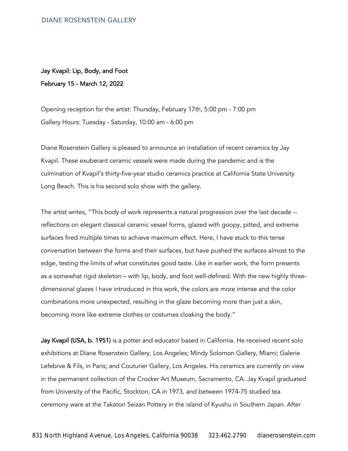## Jay Kvapil: Lip, Body, and Foot February 15 - March 12, 2022

Opening reception for the artist: Thursday, February 17th, 5:00 pm - 7:00 pm Gallery Hours: Tuesday - Saturday, 10:00 am - 6:00 pm

Diane Rosenstein Gallery is pleased to announce an installation of recent ceramics by Jay Kvapil. These exuberant ceramic vessels were made during the pandemic and is the culmination of Kvapil's thirty-five-year studio ceramics practice at California State University Long Beach. This is his second solo show with the gallery.

The artist writes, "This body of work represents a natural progression over the last decade - reflections on elegant classical ceramic vessel forms, glazed with goopy, pitted, and extreme surfaces fired multiple times to achieve maximum effect. Here, I have stuck to this tense conversation between the forms and their surfaces, but have pushed the surfaces almost to the edge, testing the limits of what constitutes good taste. Like in earlier work, the form presents as a somewhat rigid skeleton – with lip, body, and foot well-defined. With the new highly threedimensional glazes I have introduced in this work, the colors are more intense and the color combinations more unexpected, resulting in the glaze becoming more than just a skin, becoming more like extreme clothes or costumes cloaking the body."

Jay Kvapil (USA, b. 1951) is a potter and educator based in California. He received recent solo exhibitions at Diane Rosenstein Gallery, Los Angeles; Mindy Solomon Gallery, Miami; Galerie Lefebrve & Fils, in Paris; and Couturier Gallery, Los Angeles. His ceramics are currently on view in the permanent collection of the Crocker Art Museum, Sacramento, CA. Jay Kvapil graduated from University of the Pacific, Stockton, CA in 1973, and between 1974-75 studied tea ceremony ware at the Takatori Seizan Pottery in the island of Kyushu in Southern Japan. After